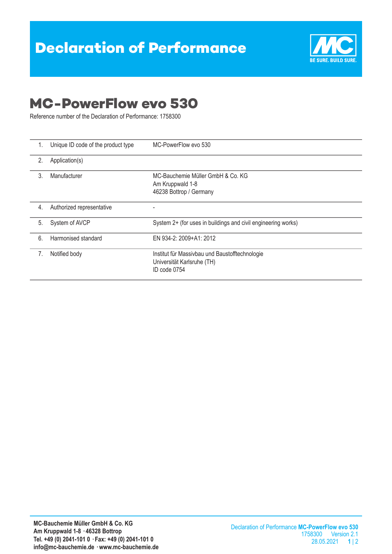

## **MC-PowerFlow evo 530**

Reference number of the Declaration of Performance: 1758300

| 1. | Unique ID code of the product type | MC-PowerFlow evo 530                                                                         |  |
|----|------------------------------------|----------------------------------------------------------------------------------------------|--|
| 2. | Application(s)                     |                                                                                              |  |
| 3. | Manufacturer                       | MC-Bauchemie Müller GmbH & Co. KG<br>Am Kruppwald 1-8<br>46238 Bottrop / Germany             |  |
| 4. | Authorized representative          |                                                                                              |  |
| 5. | System of AVCP                     | System 2+ (for uses in buildings and civil engineering works)                                |  |
| 6. | Harmonised standard                | EN 934-2: 2009+A1: 2012                                                                      |  |
| 7. | Notified body                      | Institut für Massivbau und Baustofftechnologie<br>Universität Karlsruhe (TH)<br>ID code 0754 |  |